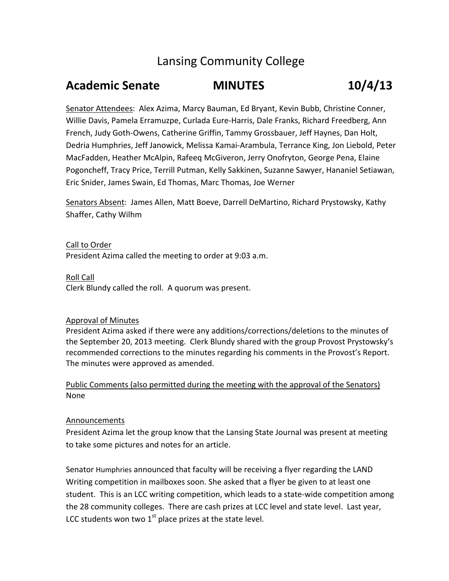# Lansing Community College

# **Academic Senate MINUTES 10/4/13**

Senator Attendees: Alex Azima, Marcy Bauman, Ed Bryant, Kevin Bubb, Christine Conner, Willie Davis, Pamela Erramuzpe, Curlada Eure‐Harris, Dale Franks, Richard Freedberg, Ann French, Judy Goth‐Owens, Catherine Griffin, Tammy Grossbauer, Jeff Haynes, Dan Holt, Dedria Humphries, Jeff Janowick, Melissa Kamai‐Arambula, Terrance King, Jon Liebold, Peter MacFadden, Heather McAlpin, Rafeeq McGiveron, Jerry Onofryton, George Pena, Elaine Pogoncheff, Tracy Price, Terrill Putman, Kelly Sakkinen, Suzanne Sawyer, Hananiel Setiawan, Eric Snider, James Swain, Ed Thomas, Marc Thomas, Joe Werner

Senators Absent: James Allen, Matt Boeve, Darrell DeMartino, Richard Prystowsky, Kathy Shaffer, Cathy Wilhm

Call to Order President Azima called the meeting to order at 9:03 a.m.

Roll Call Clerk Blundy called the roll. A quorum was present.

# Approval of Minutes

President Azima asked if there were any additions/corrections/deletions to the minutes of the September 20, 2013 meeting. Clerk Blundy shared with the group Provost Prystowsky's recommended corrections to the minutes regarding his comments in the Provost's Report. The minutes were approved as amended.

# Public Comments (also permitted during the meeting with the approval of the Senators) None

# Announcements

President Azima let the group know that the Lansing State Journal was present at meeting to take some pictures and notes for an article.

Senator Humphries announced that faculty will be receiving a flyer regarding the LAND Writing competition in mailboxes soon. She asked that a flyer be given to at least one student. This is an LCC writing competition, which leads to a state‐wide competition among the 28 community colleges. There are cash prizes at LCC level and state level. Last year, LCC students won two  $1<sup>st</sup>$  place prizes at the state level.